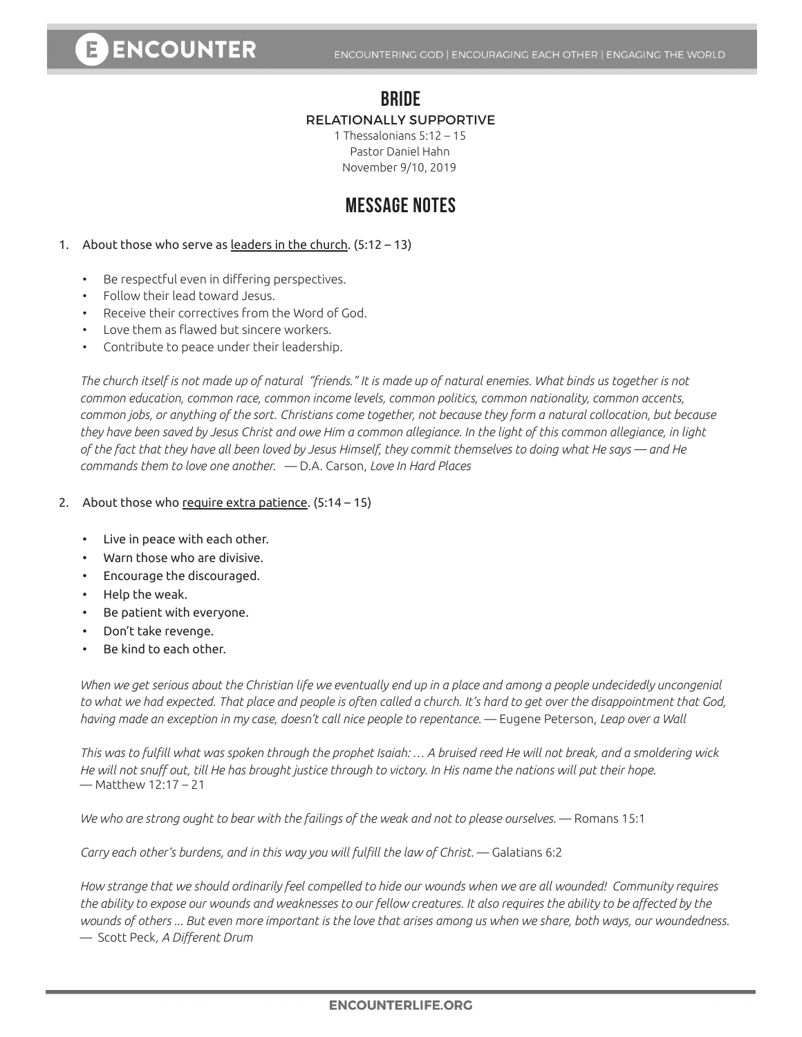# E ENCOUNTER

### **BRIDE** RELATIONALLY SUPPORTIVE

1 Thessalonians 5:12 – 15 Pastor Daniel Hahn November 9/10, 2019

## **MESSAGE NOTES**

#### 1. About those who serve as leaders in the church. (5:12 - 13)

- • Be respectful even in differing perspectives.
- • Follow their lead toward Jesus.
- Receive their correctives from the Word of God.
- • Love them as flawed but sincere workers.
- • Contribute to peace under their leadership.

*The church itself is not made up of natural "friends." It is made up of natural enemies. What binds us together is not common education, common race, common income levels, common politics, common nationality, common accents, common jobs, or anything of the sort. Christians come together, not because they form a natural collocation, but because they have been saved by Jesus Christ and owe Him a common allegiance. In the light of this common allegiance, in light of the fact that they have all been loved by Jesus Himself, they commit themselves to doing what He says — and He commands them to love one another.* — D.A. Carson, *Love In Hard Places*

#### 2. About those who require extra patience. (5:14 - 15)

- Live in peace with each other.
- Warn those who are divisive.
- Encourage the discouraged.
- Help the weak.
- Be patient with everyone.
- Don't take revenge.
- Be kind to each other.

*When we get serious about the Christian life we eventually end up in a place and among a people undecidedly uncongenial to what we had expected. That place and people is often called a church. It's hard to get over the disappointment that God, having made an exception in my case, doesn't call nice people to repentance.* — Eugene Peterson, *Leap over a Wall*

*This was to fulfill what was spoken through the prophet Isaiah: … A bruised reed He will not break, and a smoldering wick He will not snuff out, till He has brought justice through to victory. In His name the nations will put their hope.*  — Matthew 12:17 – 21

*We who are strong ought to bear with the failings of the weak and not to please ourselves.* — Romans 15:1

*Carry each other's burdens, and in this way you will fulfill the law of Christ.* — Galatians 6:2

*How strange that we should ordinarily feel compelled to hide our wounds when we are all wounded! Community requires the ability to expose our wounds and weaknesses to our fellow creatures. It also requires the ability to be affected by the wounds of others ... But even more important is the love that arises among us when we share, both ways, our woundedness.*  — Scott Peck*, A Different Drum*

#### **ENCOUNTERLIFE.ORG**